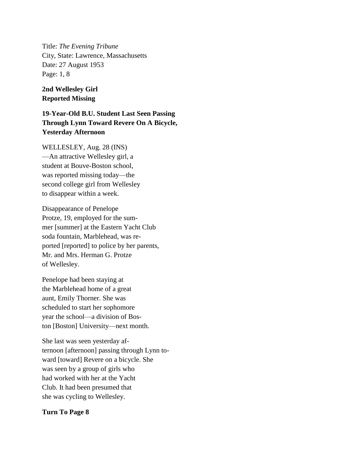Title: *The Evening Tribune* City, State: Lawrence, Massachusetts Date: 27 August 1953 Page: 1, 8

## **2nd Wellesley Girl Reported Missing**

**19-Year-Old B.U. Student Last Seen Passing Through Lynn Toward Revere On A Bicycle, Yesterday Afternoon**

WELLESLEY, Aug. 28 (INS) —An attractive Wellesley girl, a student at Bouve-Boston school, was reported missing today—the second college girl from Wellesley to disappear within a week.

Disappearance of Penelope Protze, 19, employed for the summer [summer] at the Eastern Yacht Club soda fountain, Marblehead, was reported [reported] to police by her parents, Mr. and Mrs. Herman G. Protze of Wellesley.

Penelope had been staying at the Marblehead home of a great aunt, Emily Thorner. She was scheduled to start her sophomore year the school—a division of Boston [Boston] University—next month.

She last was seen yesterday afternoon [afternoon] passing through Lynn toward [toward] Revere on a bicycle. She was seen by a group of girls who had worked with her at the Yacht Club. It had been presumed that she was cycling to Wellesley.

## **Turn To Page 8**